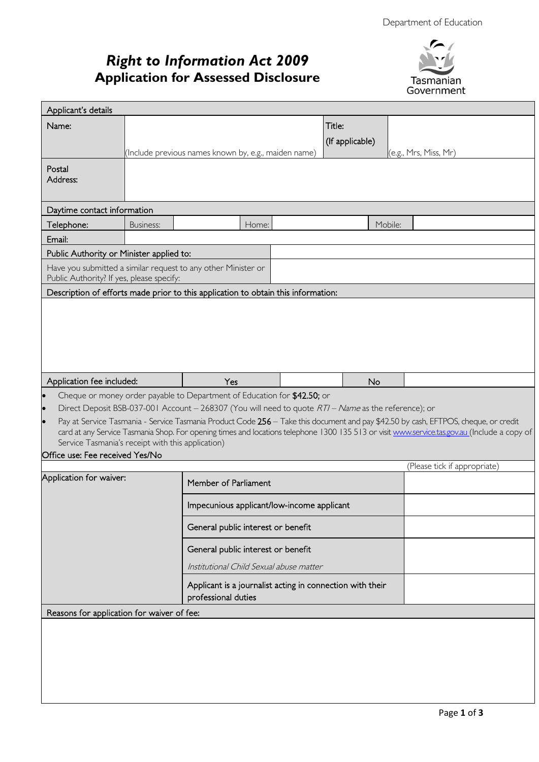# *Right to Information Act 2009* **Application for Assessed Disclosure**



| Applicant's details                               |           |                                                                                                                                                                                                                                                                                     |                 |         |                              |  |
|---------------------------------------------------|-----------|-------------------------------------------------------------------------------------------------------------------------------------------------------------------------------------------------------------------------------------------------------------------------------------|-----------------|---------|------------------------------|--|
| Name:                                             |           |                                                                                                                                                                                                                                                                                     | Title:          |         |                              |  |
|                                                   |           |                                                                                                                                                                                                                                                                                     | (If applicable) |         |                              |  |
|                                                   |           | (Include previous names known by, e.g., maiden name)                                                                                                                                                                                                                                |                 |         | (e.g., Mrs, Miss, Mr)        |  |
| Postal                                            |           |                                                                                                                                                                                                                                                                                     |                 |         |                              |  |
| Address:                                          |           |                                                                                                                                                                                                                                                                                     |                 |         |                              |  |
|                                                   |           |                                                                                                                                                                                                                                                                                     |                 |         |                              |  |
| Daytime contact information                       |           |                                                                                                                                                                                                                                                                                     |                 |         |                              |  |
| Telephone:                                        | Business: | Home:                                                                                                                                                                                                                                                                               |                 | Mobile: |                              |  |
| Email:                                            |           |                                                                                                                                                                                                                                                                                     |                 |         |                              |  |
| Public Authority or Minister applied to:          |           |                                                                                                                                                                                                                                                                                     |                 |         |                              |  |
| Public Authority? If yes, please specify:         |           | Have you submitted a similar request to any other Minister or                                                                                                                                                                                                                       |                 |         |                              |  |
|                                                   |           | Description of efforts made prior to this application to obtain this information:                                                                                                                                                                                                   |                 |         |                              |  |
|                                                   |           |                                                                                                                                                                                                                                                                                     |                 |         |                              |  |
|                                                   |           |                                                                                                                                                                                                                                                                                     |                 |         |                              |  |
|                                                   |           |                                                                                                                                                                                                                                                                                     |                 |         |                              |  |
|                                                   |           |                                                                                                                                                                                                                                                                                     |                 |         |                              |  |
|                                                   |           |                                                                                                                                                                                                                                                                                     |                 |         |                              |  |
|                                                   |           | Yes                                                                                                                                                                                                                                                                                 |                 |         |                              |  |
|                                                   |           |                                                                                                                                                                                                                                                                                     |                 |         |                              |  |
| Application fee included:                         |           |                                                                                                                                                                                                                                                                                     | No              |         |                              |  |
| $\bullet$<br>$\bullet$                            |           | Cheque or money order payable to Department of Education for \$42.50; or                                                                                                                                                                                                            |                 |         |                              |  |
|                                                   |           | Direct Deposit BSB-037-001 Account - 268307 (You will need to quote RTI - Name as the reference); or                                                                                                                                                                                |                 |         |                              |  |
|                                                   |           | Pay at Service Tasmania - Service Tasmania Product Code 256 - Take this document and pay \$42.50 by cash, EFTPOS, cheque, or credit<br>card at any Service Tasmania Shop. For opening times and locations telephone 1300 135 513 or visit www.service.tas.gov.au (Include a copy of |                 |         |                              |  |
| Service Tasmania's receipt with this application) |           |                                                                                                                                                                                                                                                                                     |                 |         |                              |  |
| Office use: Fee received Yes/No                   |           |                                                                                                                                                                                                                                                                                     |                 |         |                              |  |
| Application for waiver:                           |           |                                                                                                                                                                                                                                                                                     |                 |         | (Please tick if appropriate) |  |
|                                                   |           | Member of Parliament                                                                                                                                                                                                                                                                |                 |         |                              |  |
|                                                   |           | Impecunious applicant/low-income applicant                                                                                                                                                                                                                                          |                 |         |                              |  |
|                                                   |           | General public interest or benefit                                                                                                                                                                                                                                                  |                 |         |                              |  |
|                                                   |           | General public interest or benefit                                                                                                                                                                                                                                                  |                 |         |                              |  |
|                                                   |           | Institutional Child Sexual abuse matter                                                                                                                                                                                                                                             |                 |         |                              |  |
|                                                   |           | Applicant is a journalist acting in connection with their                                                                                                                                                                                                                           |                 |         |                              |  |
|                                                   |           | professional duties                                                                                                                                                                                                                                                                 |                 |         |                              |  |
| Reasons for application for waiver of fee:        |           |                                                                                                                                                                                                                                                                                     |                 |         |                              |  |
|                                                   |           |                                                                                                                                                                                                                                                                                     |                 |         |                              |  |
|                                                   |           |                                                                                                                                                                                                                                                                                     |                 |         |                              |  |
|                                                   |           |                                                                                                                                                                                                                                                                                     |                 |         |                              |  |
|                                                   |           |                                                                                                                                                                                                                                                                                     |                 |         |                              |  |
|                                                   |           |                                                                                                                                                                                                                                                                                     |                 |         |                              |  |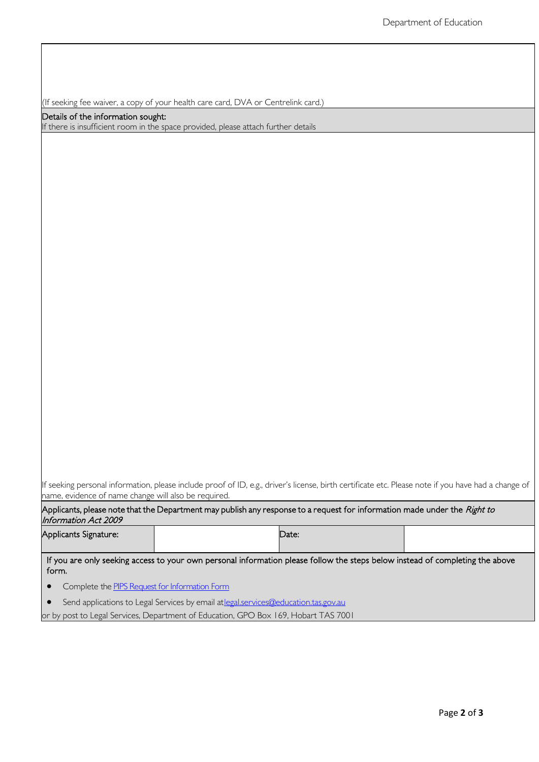(If seeking fee waiver, a copy of your health care card, DVA or Centrelink card.)

#### Details of the information sought:

If there is insufficient room in the space provided, please attach further details

If seeking personal information, please include proof of ID, e.g., driver's license, birth certificate etc. Please note if you have had a change of name, evidence of name change will also be required.

Applicants, please note that the Department may publish any response to a request for information made under the *Right to* Information Act 2009

| Applicants Signature: | Date: |  |
|-----------------------|-------|--|
|                       |       |  |

If you are only seeking access to your own personal information please follow the steps below instead of completing the above form.

- Complete the PIPS Request for Information Form
- Send applications to Legal Services by email at legal.services@education.tas.gov.au

or by post to Legal Services, Department of Education, GPO Box 169, Hobart TAS 7001